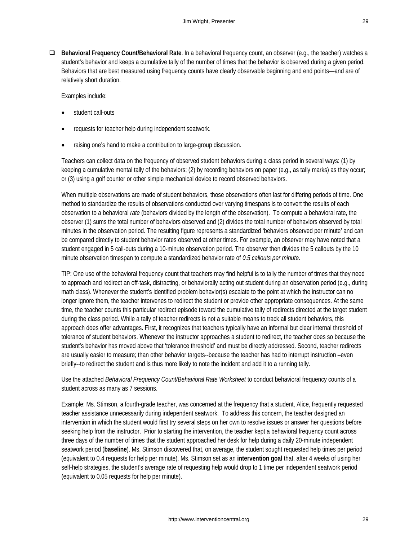**Behavioral Frequency Count/Behavioral Rate**. In a behavioral frequency count, an observer (e.g., the teacher) watches a student's behavior and keeps a cumulative tally of the number of times that the behavior is observed during a given period. Behaviors that are best measured using frequency counts have clearly observable beginning and end points—and are of relatively short duration.

Examples include:

- student call-outs
- requests for teacher help during independent seatwork.
- raising one's hand to make a contribution to large-group discussion.

Teachers can collect data on the frequency of observed student behaviors during a class period in several ways: (1) by keeping a cumulative mental tally of the behaviors; (2) by recording behaviors on paper (e.g., as tally marks) as they occur; or (3) using a golf counter or other simple mechanical device to record observed behaviors.

When multiple observations are made of student behaviors, those observations often last for differing periods of time. One method to standardize the results of observations conducted over varying timespans is to convert the results of each observation to a behavioral *rate* (behaviors divided by the length of the observation). To compute a behavioral rate, the observer (1) sums the total number of behaviors observed and (2) divides the total number of behaviors observed by total minutes in the observation period. The resulting figure represents a standardized 'behaviors observed per minute' and can be compared directly to student behavior rates observed at other times. For example, an observer may have noted that a student engaged in 5 call-outs during a 10-minute observation period. The observer then divides the 5 callouts by the 10 minute observation timespan to compute a standardized behavior rate of *0.5 callouts per minute*.

TIP: One use of the behavioral frequency count that teachers may find helpful is to tally the number of times that they need to approach and redirect an off-task, distracting, or behaviorally acting out student during an observation period (e.g., during math class). Whenever the student's identified problem behavior(s) escalate to the point at which the instructor can no longer ignore them, the teacher intervenes to redirect the student or provide other appropriate consequences. At the same time, the teacher counts this particular redirect episode toward the cumulative tally of redirects directed at the target student during the class period. While a tally of teacher redirects is not a suitable means to track all student behaviors, this approach does offer advantages. First, it recognizes that teachers typically have an informal but clear internal threshold of tolerance of student behaviors. Whenever the instructor approaches a student to redirect, the teacher does so because the student's behavior has moved above that 'tolerance threshold' and must be directly addressed. Second, teacher redirects are usually easier to measure; than other behavior targets--because the teacher has had to interrupt instruction –even briefly--to redirect the student and is thus more likely to note the incident and add it to a running tally.

Use the attached *Behavioral Frequency Count/Behavioral Rate Worksheet* to conduct behavioral frequency counts of a student across as many as 7 sessions.

Example: Ms. Stimson, a fourth-grade teacher, was concerned at the frequency that a student, Alice, frequently requested teacher assistance unnecessarily during independent seatwork. To address this concern, the teacher designed an intervention in which the student would first try several steps on her own to resolve issues or answer her questions before seeking help from the instructor. Prior to starting the intervention, the teacher kept a behavioral frequency count across three days of the number of times that the student approached her desk for help during a daily 20-minute independent seatwork period (**baseline**). Ms. Stimson discovered that, on average, the student sought requested help times per period (equivalent to 0.4 requests for help per minute). Ms. Stimson set as an **intervention goal** that, after 4 weeks of using her self-help strategies, the student's average rate of requesting help would drop to 1 time per independent seatwork period (equivalent to 0.05 requests for help per minute).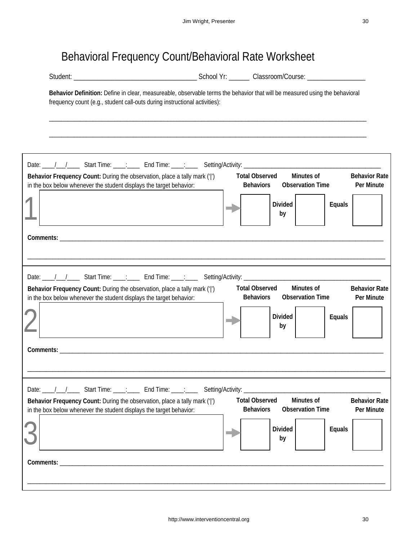## Behavioral Frequency Count/Behavioral Rate Worksheet

| Behavior Definition: Define in clear, measureable, observable terms the behavior that will be measured using the behavioral<br>frequency count (e.g., student call-outs during instructional activities):<br><b>Total Observed</b><br>Minutes of<br>Behavior Frequency Count: During the observation, place a tally mark (' ')<br><b>Observation Time</b><br><b>Behaviors</b><br>in the box below whenever the student displays the target behavior:<br><b>Divided</b><br>Equals<br>by<br>Minutes of<br><b>Total Observed</b><br>Behavior Frequency Count: During the observation, place a tally mark (' ')<br><b>Observation Time</b><br>in the box below whenever the student displays the target behavior:<br><b>Behaviors</b><br>Divided<br>Equals<br>by<br><b>Comments:</b> Comments:<br>Date: //// Start Time: ___: End Time: ___: Setting/Activity: ____________________<br><b>Total Observed</b><br>Minutes of<br>Behavior Frequency Count: During the observation, place a tally mark (' ')<br><b>Behaviors</b><br><b>Observation Time</b><br>in the box below whenever the student displays the target behavior: | Student: |                |        |                                    |
|----------------------------------------------------------------------------------------------------------------------------------------------------------------------------------------------------------------------------------------------------------------------------------------------------------------------------------------------------------------------------------------------------------------------------------------------------------------------------------------------------------------------------------------------------------------------------------------------------------------------------------------------------------------------------------------------------------------------------------------------------------------------------------------------------------------------------------------------------------------------------------------------------------------------------------------------------------------------------------------------------------------------------------------------------------------------------------------------------------------------------|----------|----------------|--------|------------------------------------|
|                                                                                                                                                                                                                                                                                                                                                                                                                                                                                                                                                                                                                                                                                                                                                                                                                                                                                                                                                                                                                                                                                                                            |          |                |        |                                    |
|                                                                                                                                                                                                                                                                                                                                                                                                                                                                                                                                                                                                                                                                                                                                                                                                                                                                                                                                                                                                                                                                                                                            |          |                |        |                                    |
|                                                                                                                                                                                                                                                                                                                                                                                                                                                                                                                                                                                                                                                                                                                                                                                                                                                                                                                                                                                                                                                                                                                            |          |                |        |                                    |
|                                                                                                                                                                                                                                                                                                                                                                                                                                                                                                                                                                                                                                                                                                                                                                                                                                                                                                                                                                                                                                                                                                                            |          |                |        | <b>Behavior Rate</b><br>Per Minute |
|                                                                                                                                                                                                                                                                                                                                                                                                                                                                                                                                                                                                                                                                                                                                                                                                                                                                                                                                                                                                                                                                                                                            |          |                |        |                                    |
|                                                                                                                                                                                                                                                                                                                                                                                                                                                                                                                                                                                                                                                                                                                                                                                                                                                                                                                                                                                                                                                                                                                            |          |                |        |                                    |
|                                                                                                                                                                                                                                                                                                                                                                                                                                                                                                                                                                                                                                                                                                                                                                                                                                                                                                                                                                                                                                                                                                                            |          |                |        |                                    |
|                                                                                                                                                                                                                                                                                                                                                                                                                                                                                                                                                                                                                                                                                                                                                                                                                                                                                                                                                                                                                                                                                                                            |          |                |        |                                    |
|                                                                                                                                                                                                                                                                                                                                                                                                                                                                                                                                                                                                                                                                                                                                                                                                                                                                                                                                                                                                                                                                                                                            |          |                |        | <b>Behavior Rate</b><br>Per Minute |
|                                                                                                                                                                                                                                                                                                                                                                                                                                                                                                                                                                                                                                                                                                                                                                                                                                                                                                                                                                                                                                                                                                                            |          |                |        |                                    |
|                                                                                                                                                                                                                                                                                                                                                                                                                                                                                                                                                                                                                                                                                                                                                                                                                                                                                                                                                                                                                                                                                                                            |          |                |        |                                    |
|                                                                                                                                                                                                                                                                                                                                                                                                                                                                                                                                                                                                                                                                                                                                                                                                                                                                                                                                                                                                                                                                                                                            |          |                |        |                                    |
|                                                                                                                                                                                                                                                                                                                                                                                                                                                                                                                                                                                                                                                                                                                                                                                                                                                                                                                                                                                                                                                                                                                            |          |                |        | <b>Behavior Rate</b><br>Per Minute |
| by                                                                                                                                                                                                                                                                                                                                                                                                                                                                                                                                                                                                                                                                                                                                                                                                                                                                                                                                                                                                                                                                                                                         |          | <b>Divided</b> | Equals |                                    |
|                                                                                                                                                                                                                                                                                                                                                                                                                                                                                                                                                                                                                                                                                                                                                                                                                                                                                                                                                                                                                                                                                                                            |          |                |        |                                    |